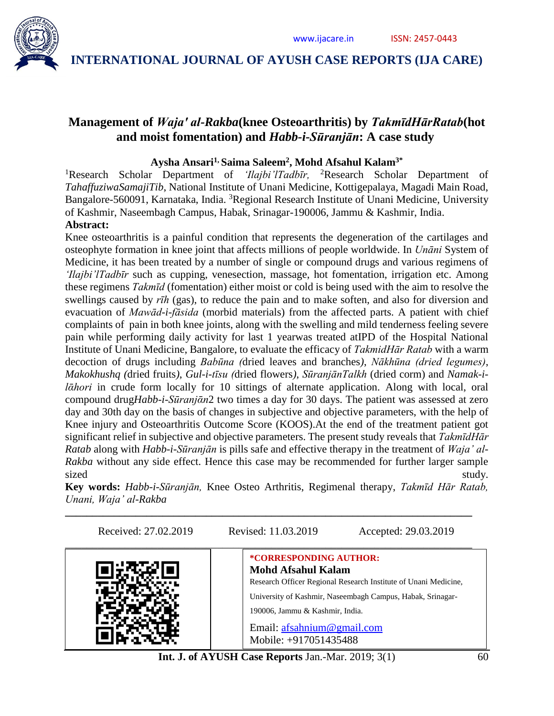

## **Management of** *Wajaʹ al-Rakba***(knee Osteoarthritis) by** *TakmīdHārRatab***(hot and moist fomentation) and** *Habb-i-Sūranjān***: A case study**

### **Aysha Ansari1, Saima Saleem<sup>2</sup> , Mohd Afsahul Kalam3\***

<sup>1</sup>Research Scholar Department of *'Ilajbi'lTadbīr*, <sup>2</sup>Research Scholar Department of *TahaffuziwaSamajiTib*, National Institute of Unani Medicine, Kottigepalaya, Magadi Main Road, Bangalore-560091, Karnataka, India. <sup>3</sup>Regional Research Institute of Unani Medicine, University of Kashmir, Naseembagh Campus, Habak, Srinagar-190006, Jammu & Kashmir, India.

## **Abstract:**

Knee osteoarthritis is a painful condition that represents the degeneration of the cartilages and osteophyte formation in knee joint that affects millions of people worldwide. In *Unāni* System of Medicine, it has been treated by a number of single or compound drugs and various regimens of *'Ilajbi'lTadbīr* such as cupping, venesection, massage, hot fomentation, irrigation etc. Among these regimens *Takmīd* (fomentation) either moist or cold is being used with the aim to resolve the swellings caused by *rīh* (gas), to reduce the pain and to make soften, and also for diversion and evacuation of *Mawād-i-fāsida* (morbid materials) from the affected parts. A patient with chief complaints of pain in both knee joints, along with the swelling and mild tenderness feeling severe pain while performing daily activity for last 1 yearwas treated atIPD of the Hospital National Institute of Unani Medicine, Bangalore, to evaluate the efficacy of *TakmidHār Ratab* with a warm decoction of drugs including *Babūna (*dried leaves and branches*)*, *Nākhūna (dried legumes)*, *Makokhushq (*dried fruits*)*, *Gul-i-tīsu (*dried flowers*)*, *SūranjānTalkh* (dried corm) and *Namak-il* $ā$ *hori* in crude form locally for 10 sittings of alternate application. Along with local, oral compound drug*Habb-i-Sūranjᾱn*2 two times a day for 30 days. The patient was assessed at zero day and 30th day on the basis of changes in subjective and objective parameters, with the help of Knee injury and Osteoarthritis Outcome Score (KOOS).At the end of the treatment patient got significant relief in subjective and objective parameters. The present study reveals that *TakmīdHār Ratab* along with *Habb-i-Sūranjān* is pills safe and effective therapy in the treatment of *Waja' al-Rakba* without any side effect. Hence this case may be recommended for further larger sample sized study.

**Key words:** *Habb-i-Sūranjān,* Knee Osteo Arthritis, Regimenal therapy, *Takmīd Hār Ratab, Unani, Waja' al-Rakba*

**\_\_\_\_\_\_\_\_\_\_\_\_\_\_\_\_\_\_\_\_\_\_\_\_\_\_\_\_\_\_\_\_\_\_\_\_\_\_\_\_\_\_\_\_\_\_\_\_\_\_\_\_\_\_\_\_\_\_\_\_\_\_\_\_\_\_\_\_\_\_\_\_\_\_\_**

Received: 27.02.2019 Revised: 11.03.2019 Accepted: 29.03.2019 \_\_\_\_\_\_\_\_\_\_\_\_\_\_\_\_\_\_\_\_\_\_\_\_\_\_\_\_\_\_\_\_\_\_\_\_\_\_\_\_\_\_\_\_\_\_\_\_\_\_\_\_\_\_\_\_\_\_\_\_\_\_\_\_\_\_\_\_\_\_\_\_\_\_\_ **\*CORRESPONDING AUTHOR: Mohd Afsahul Kalam** Research Officer Regional Research Institute of Unani Medicine, University of Kashmir, Naseembagh Campus, Habak, Srinagar-190006, Jammu & Kashmir, India. Email: [afsahnium@gmail.com](mailto:afsahnium@gmail.com) Mobile: +917051435488

**Int. J. of AYUSH Case Reports Jan.**-Mar. 2019; 3(1) 60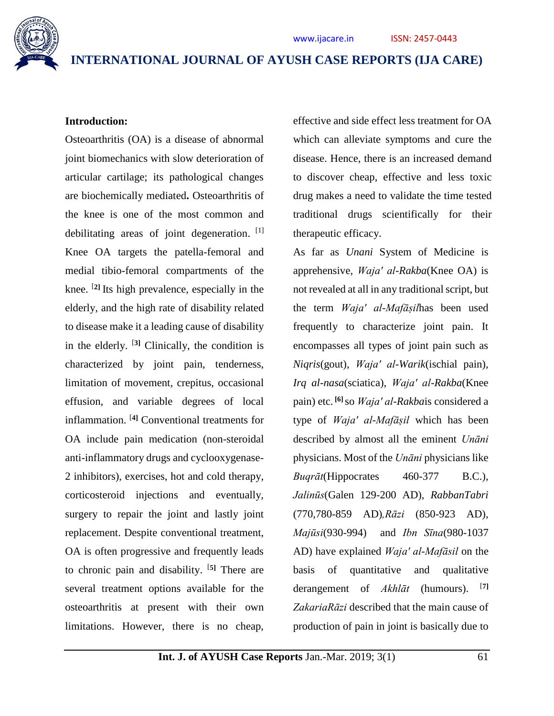

#### **Introduction:**

Osteoarthritis (OA) is a disease of abnormal joint biomechanics with slow deterioration of articular cartilage; its pathological changes are biochemically mediated**.** Osteoarthritis of the knee is one of the most common and debilitating areas of joint degeneration. [1] Knee OA targets the patella-femoral and medial tibio-femoral compartments of the knee. [**2]** Its high prevalence, especially in the elderly, and the high rate of disability related to disease make it a leading cause of disability in the elderly. [**3]** Clinically, the condition is characterized by joint pain, tenderness, limitation of movement, crepitus, occasional effusion, and variable degrees of local inflammation. [**4]** Conventional treatments for OA include pain medication (non-steroidal anti-inflammatory drugs and cyclooxygenase-2 inhibitors), exercises, hot and cold therapy, corticosteroid injections and eventually, surgery to repair the joint and lastly joint replacement. Despite conventional treatment, OA is often progressive and frequently leads to chronic pain and disability. [**5]** There are several treatment options available for the osteoarthritis at present with their own limitations. However, there is no cheap, effective and side effect less treatment for OA which can alleviate symptoms and cure the disease. Hence, there is an increased demand to discover cheap, effective and less toxic drug makes a need to validate the time tested traditional drugs scientifically for their therapeutic efficacy.

As far as *Unani* System of Medicine is apprehensive, *Wajaʹ al-Rakba*(Knee OA) is not revealed at all in any traditional script, but the term *Wajaʹ al-Mafāṣil*has been used frequently to characterize joint pain. It encompasses all types of joint pain such as *Niqris*(gout), *Wajaʹ al-Warik*(ischial pain), *Irq al-nasa*(sciatica), *Wajaʹ al-Rakba*(Knee pain) etc. **[6]** so *Wajaʹ al-Rakba*is considered a type of *Wajaʹ al-Mafāṣil* which has been described by almost all the eminent *Unāni* physicians. Most of the *Unāni* physicians like *Buqrāt*(Hippocrates 460-377 B.C.), *Jalinūs*(Galen 129-200 AD)*, RabbanTabri* (770,780-859 AD)*,Rāzi* (850-923 AD), *Majūsi*(930-994) and *Ibn Sīna*(980-1037 AD) have explained *Wajaʹ al-Mafāsil* on the basis of quantitative and qualitative derangement of *Akhlāt* (humours). [**7]** *ZakariaRāzi* described that the main cause of production of pain in joint is basically due to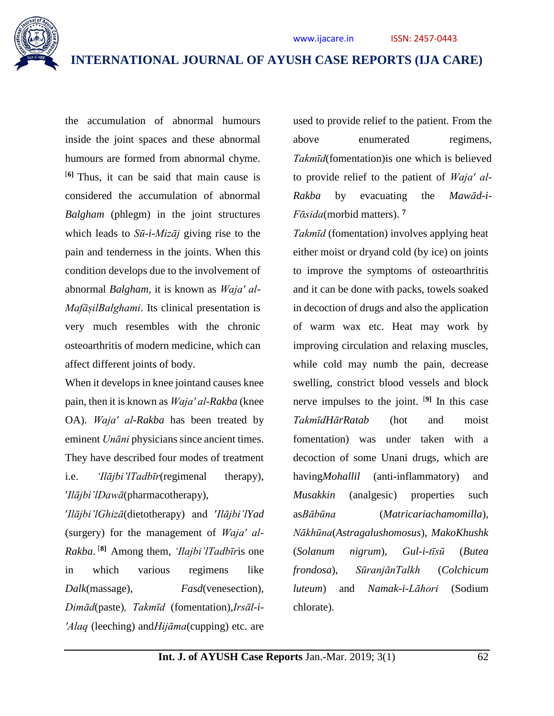

the accumulation of abnormal humours inside the joint spaces and these abnormal humours are formed from abnormal chyme. [**6]** Thus, it can be said that main cause is considered the accumulation of abnormal *Balgham* (phlegm) in the joint structures which leads to *Sū-i-Mizāj* giving rise to the pain and tenderness in the joints. When this condition develops due to the involvement of abnormal *Balgham*, it is known as *Wajaʹ al-MafāṣilBalghami*. Its clinical presentation is very much resembles with the chronic osteoarthritis of modern medicine, which can affect different joints of body.

When it develops in knee jointand causes knee pain, then it is known as *Wajaʹ al-Rakba* (knee OA). *Wajaʹ al-Rakba* has been treated by eminent *Unāni* physicians since ancient times. They have described four modes of treatment i.e. *'Ilājbi'lTadbīr*(regimenal therapy), ʹ*Ilājbi'lDawā*(pharmacotherapy),

ʹ*Ilājbi'lGhizā*(dietotherapy) and ʹ*Ilājbi'lYad* (surgery) for the management of *Wajaʹ al-Rakba*. [**8]** Among them, *'Ilajbi'lTadbīr*is one in which various regimens like *Dalk*(massage)*, Fasd*(venesection)*, Dimād*(paste)*, Takmīd* (fomentation),*Irsāl-i-ʹAlaq* (leeching) and*Hijāma*(cupping) etc. are used to provide relief to the patient. From the above enumerated regimens, *Takmīd*(fomentation)is one which is believed to provide relief to the patient of *Wajaʹ al-Rakba* by evacuating the *Mawād-i-Fᾱsida*(morbid matters). **<sup>7</sup>**

*Takmīd* (fomentation) involves applying heat either moist or dryand cold (by ice) on joints to improve the symptoms of osteoarthritis and it can be done with packs, towels soaked in decoction of drugs and also the application of warm wax etc. Heat may work by improving circulation and relaxing muscles, while cold may numb the pain, decrease swelling, constrict blood vessels and block nerve impulses to the joint. [**9]** In this case *TakmīdHārRatab* (hot and moist fomentation) was under taken with a decoction of some Unani drugs, which are having*Mohallil* (anti-inflammatory) and *Musakkin* (analgesic) properties such as*Bābūna* (*Matricariachamomilla*), *Nākhūna*(*Astragalushomosus*), *MakoKhushk* (*Solanum nigrum*), *Gul-i-tīsū* (*Butea frondosa*), *SūranjānTalkh* (*Colchicum luteum*) and *Namak-i-Lāhori* (Sodium chlorate).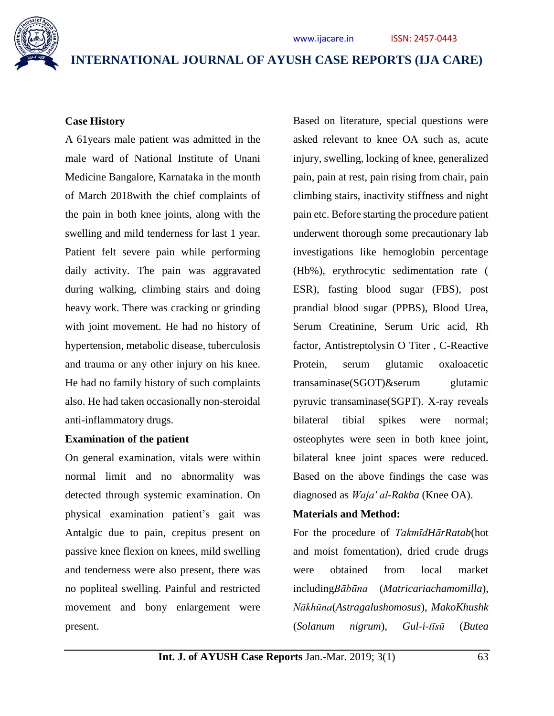

### **Case History**

A 61years male patient was admitted in the male ward of National Institute of Unani Medicine Bangalore, Karnataka in the month of March 2018with the chief complaints of the pain in both knee joints, along with the swelling and mild tenderness for last 1 year. Patient felt severe pain while performing daily activity. The pain was aggravated during walking, climbing stairs and doing heavy work. There was cracking or grinding with joint movement. He had no history of hypertension, metabolic disease, tuberculosis and trauma or any other injury on his knee. He had no family history of such complaints also. He had taken occasionally non-steroidal anti-inflammatory drugs.

#### **Examination of the patient**

On general examination, vitals were within normal limit and no abnormality was detected through systemic examination. On physical examination patient's gait was Antalgic due to pain, crepitus present on passive knee flexion on knees, mild swelling and tenderness were also present, there was no popliteal swelling. Painful and restricted movement and bony enlargement were present.

Based on literature, special questions were asked relevant to knee OA such as, acute injury, swelling, locking of knee, generalized pain, pain at rest, pain rising from chair, pain climbing stairs, inactivity stiffness and night pain etc. Before starting the procedure patient underwent thorough some precautionary lab investigations like hemoglobin percentage (Hb%), erythrocytic sedimentation rate ( ESR), fasting blood sugar (FBS), post prandial blood sugar (PPBS), Blood Urea, Serum Creatinine, Serum Uric acid, Rh factor, Antistreptolysin O Titer , C-Reactive Protein, serum glutamic oxaloacetic transaminase(SGOT)&serum glutamic pyruvic transaminase(SGPT). X-ray reveals bilateral tibial spikes were normal; osteophytes were seen in both knee joint, bilateral knee joint spaces were reduced. Based on the above findings the case was diagnosed as *Wajaʹ al-Rakba* (Knee OA).

#### **Materials and Method:**

For the procedure of *TakmīdHārRatab*(hot and moist fomentation), dried crude drugs were obtained from local market including*Bābūna* (*Matricariachamomilla*), *Nākhūna*(*Astragalushomosus*), *MakoKhushk* (*Solanum nigrum*), *Gul-i-tīsū* (*Butea*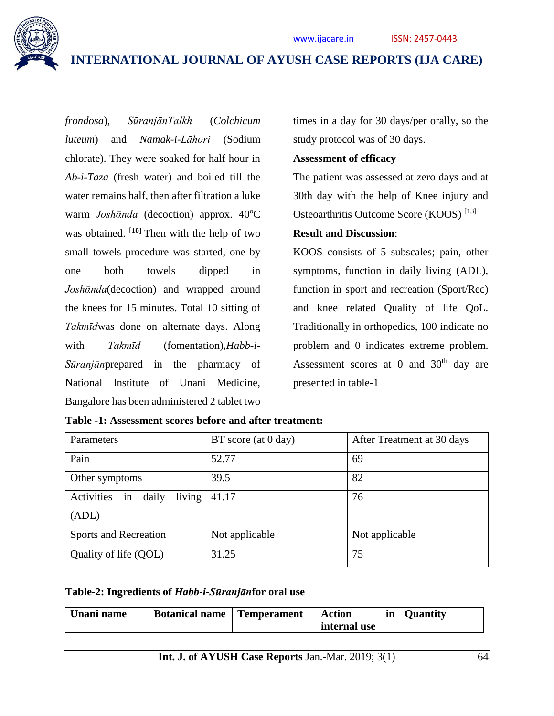

*frondosa*), *SūranjānTalkh* (*Colchicum luteum*) and *Namak-i-Lāhori* (Sodium chlorate). They were soaked for half hour in *Ab-i-Taza* (fresh water) and boiled till the water remains half, then after filtration a luke warm *Joshānda* (decoction) approx. 40°C was obtained. [**10]** Then with the help of two small towels procedure was started, one by one both towels dipped in *Joshᾱnda*(decoction) and wrapped around the knees for 15 minutes. Total 10 sitting of *Takmīd*was done on alternate days. Along with *Takmīd* (fomentation)*,Habb-i-Sūranjān*prepared in the pharmacy of National Institute of Unani Medicine, Bangalore has been administered 2 tablet two

times in a day for 30 days/per orally, so the study protocol was of 30 days.

#### **Assessment of efficacy**

The patient was assessed at zero days and at 30th day with the help of Knee injury and Osteoarthritis Outcome Score (KOOS) [13]

### **Result and Discussion**:

KOOS consists of 5 subscales; pain, other symptoms, function in daily living (ADL), function in sport and recreation (Sport/Rec) and knee related Quality of life QoL. Traditionally in orthopedics, 100 indicate no problem and 0 indicates extreme problem. Assessment scores at 0 and  $30<sup>th</sup>$  day are presented in table-1

| Parameters                          | $BT$ score (at 0 day) | After Treatment at 30 days |
|-------------------------------------|-----------------------|----------------------------|
| Pain                                | 52.77                 | 69                         |
| Other symptoms                      | 39.5                  | 82                         |
| Activities<br>living<br>daily<br>in | 41.17                 | 76                         |
| (ADL)                               |                       |                            |
| Sports and Recreation               | Not applicable        | Not applicable             |
| Quality of life (QOL)               | 31.25                 | 75                         |

| Table -1: Assessment scores before and after treatment: |  |
|---------------------------------------------------------|--|
|---------------------------------------------------------|--|

### **Table-2: Ingredients of** *Habb-i-Sūranjān***for oral use**

| Unani name<br><b>Temperament</b><br><b>Botanical name</b> | <b>Action</b><br>internal use | in   Quantity |
|-----------------------------------------------------------|-------------------------------|---------------|
|-----------------------------------------------------------|-------------------------------|---------------|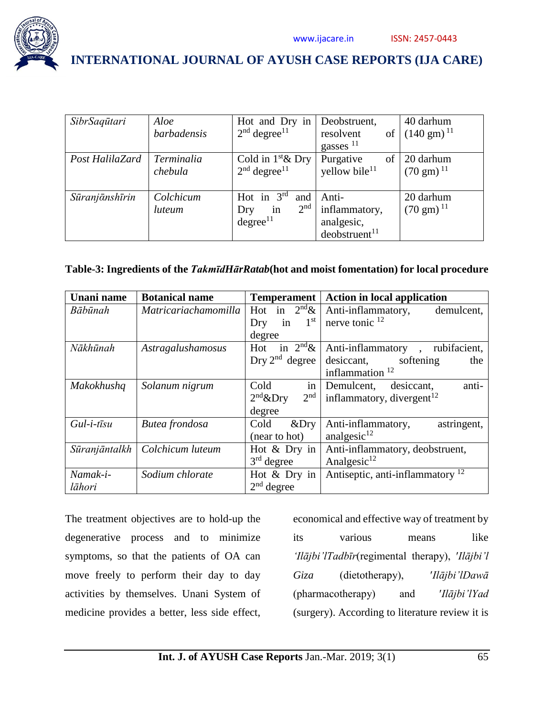

| SibrSaqūtari    | Aloe               | Hot and Dry in Deobstruent,   |                           | 40 darhum               |
|-----------------|--------------------|-------------------------------|---------------------------|-------------------------|
|                 | <i>barbadensis</i> | $2nd$ degree <sup>11</sup>    | resolvent<br>of           | $(140 \text{ gm})^{11}$ |
|                 |                    |                               | gasses $^{11}$            |                         |
| Post HalilaZard | Terminalia         | Cold in $1^{\text{st}}$ & Dry | Purgative<br>of           | 20 darhum               |
|                 | chebula            | $2nd$ degree <sup>11</sup>    | yellow bile <sup>11</sup> | $(70 \text{ gm})^{11}$  |
|                 |                    |                               |                           |                         |
| Sūranjānshīrin  | Colchicum          | Hot in $3rd$<br>and           | Anti-                     | 20 darhum               |
|                 | luteum             | 2 <sup>nd</sup><br>in<br>Dry  | inflammatory,             | $(70 \text{ gm})^{11}$  |
|                 |                    | degree <sup>11</sup>          | analgesic,                |                         |
|                 |                    |                               | deobstruct <sup>11</sup>  |                         |

### **Table-3: Ingredients of the** *TakmīdHārRatab***(hot and moist fomentation) for local procedure**

| Unani name          | <b>Botanical name</b>       | <b>Temperament</b>            | <b>Action in local application</b>          |
|---------------------|-----------------------------|-------------------------------|---------------------------------------------|
| Bābūnah             | <i>Matricariachamomilla</i> | Hot in $2^{nd}\&$             | Anti-inflammatory,<br>demulcent,            |
|                     |                             | in $1st$<br>Dry               | nerve tonic $^{12}$                         |
|                     |                             | degree                        |                                             |
| Nākhūnah            | Astragalushamosus           | Hot in $2^{nd}\&$             | Anti-inflammatory, rubifacient,             |
|                     |                             | Dry $2nd$ degree              | desiccant, softening<br>the                 |
|                     |                             |                               | inflammation $12$                           |
| Makokhushq          | Solanum nigrum              | in<br>Cold                    | anti-<br>Demulcent, desiccant,              |
|                     |                             | 2 <sup>nd</sup><br>$2nd$ &Dry | inflammatory, divergent <sup>12</sup>       |
|                     |                             | degree                        |                                             |
| $Gul-i-t\bar{i}s u$ | Butea frondosa              | Cold<br>$&$ Dry               | astringent,<br>Anti-inflammatory,           |
|                     |                             | (near to hot)                 | analgesic $^{12}$                           |
| Sūranjāntalkh       | Colchicum luteum            | Hot & Dry in                  | Anti-inflammatory, deobstruent,             |
|                     |                             | $3rd$ degree                  | Analgesic $^{12}$                           |
| Namak-i-            | Sodium chlorate             | Hot $&$ Dry in                | Antiseptic, anti-inflammatory <sup>12</sup> |
| lāhori              |                             | $2nd$ degree                  |                                             |

The treatment objectives are to hold-up the degenerative process and to minimize symptoms, so that the patients of OA can move freely to perform their day to day activities by themselves. Unani System of medicine provides a better, less side effect,

economical and effective way of treatment by its various means like *'Ilājbi'lTadbīr*(regimental therapy), ʹ*Ilājbi'l Giza* (dietotherapy), ʹ*Ilājbi'lDawā* (pharmacotherapy) and ʹ*Ilājbi'lYad* (surgery). According to literature review it is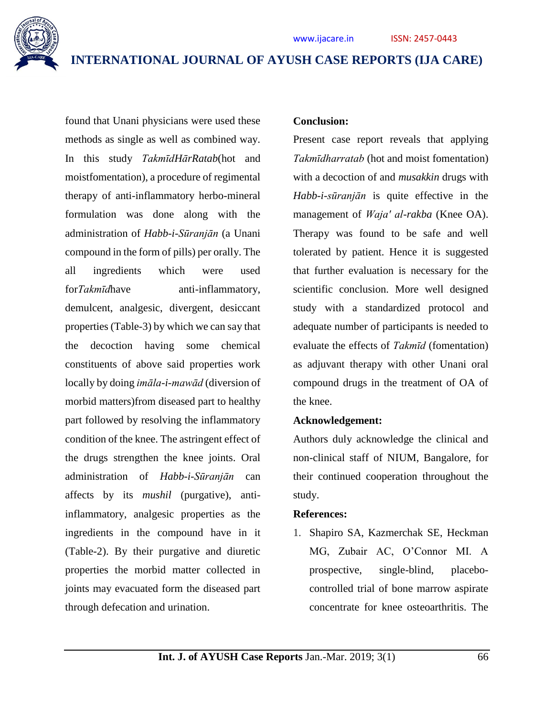

found that Unani physicians were used these methods as single as well as combined way. In this study *TakmīdHārRatab*(hot and moistfomentation), a procedure of regimental therapy of anti-inflammatory herbo-mineral formulation was done along with the administration of *Habb-i-Sūranjān* (a Unani compound in the form of pills) per orally. The all ingredients which were used for*Takmīd*have anti-inflammatory, demulcent, analgesic, divergent, desiccant properties (Table-3) by which we can say that the decoction having some chemical constituents of above said properties work locally by doing *imāla-i-mawād* (diversion of morbid matters)from diseased part to healthy part followed by resolving the inflammatory condition of the knee. The astringent effect of the drugs strengthen the knee joints. Oral administration of *Habb-i-Sūranjān* can affects by its *mushil* (purgative), antiinflammatory, analgesic properties as the ingredients in the compound have in it (Table-2). By their purgative and diuretic properties the morbid matter collected in joints may evacuated form the diseased part through defecation and urination.

#### **Conclusion:**

Present case report reveals that applying *Takmīdharratab* (hot and moist fomentation) with a decoction of and *musakkin* drugs with *Habb-i-sūranjān* is quite effective in the management of *Wajaʹ al-rakba* (Knee OA). Therapy was found to be safe and well tolerated by patient. Hence it is suggested that further evaluation is necessary for the scientific conclusion. More well designed study with a standardized protocol and adequate number of participants is needed to evaluate the effects of *Takmīd* (fomentation) as adjuvant therapy with other Unani oral compound drugs in the treatment of OA of the knee.

#### **Acknowledgement:**

Authors duly acknowledge the clinical and non-clinical staff of NIUM, Bangalore, for their continued cooperation throughout the study.

#### **References:**

1. Shapiro SA, Kazmerchak SE, Heckman MG, Zubair AC, O'Connor MI. A prospective, single-blind, placebocontrolled trial of bone marrow aspirate concentrate for knee osteoarthritis. The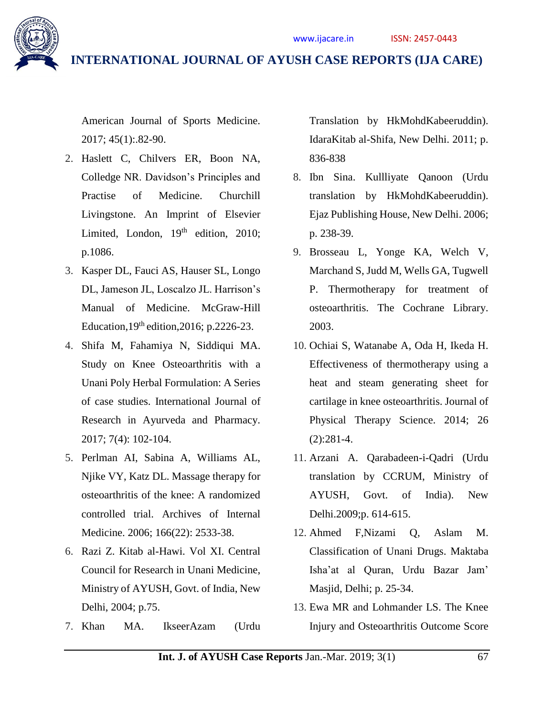

American Journal of Sports Medicine. 2017; 45(1):.82-90.

- 2. Haslett C, Chilvers ER, Boon NA, Colledge NR. Davidson's Principles and Practise of Medicine. Churchill Livingstone. An Imprint of Elsevier Limited, London,  $19<sup>th</sup>$  edition, 2010; p.1086.
- 3. Kasper DL, Fauci AS, Hauser SL, Longo DL, Jameson JL, Loscalzo JL. Harrison's Manual of Medicine. McGraw-Hill Education,  $19<sup>th</sup>$  edition,  $2016$ ; p. 2226-23.
- 4. Shifa M, Fahamiya N, Siddiqui MA. Study on Knee Osteoarthritis with a Unani Poly Herbal Formulation: A Series of case studies. International Journal of Research in Ayurveda and Pharmacy. 2017; 7(4): 102-104.
- 5. Perlman AI, Sabina A, Williams AL, Njike VY, Katz DL. Massage therapy for osteoarthritis of the knee: A randomized controlled trial. Archives of Internal Medicine. 2006; 166(22): 2533-38.
- 6. Razi Z. Kitab al-Hawi. Vol XI. Central Council for Research in Unani Medicine, Ministry of AYUSH, Govt. of India, New Delhi, 2004; p.75.
- 7. Khan MA. IkseerAzam (Urdu

Translation by HkMohdKabeeruddin). IdaraKitab al-Shifa, New Delhi. 2011; p. 836-838

- 8. Ibn Sina. Kullliyate Qanoon (Urdu translation by HkMohdKabeeruddin). Ejaz Publishing House, New Delhi. 2006; p. 238-39.
- 9. Brosseau L, Yonge KA, Welch V, Marchand S, Judd M, Wells GA, Tugwell P. Thermotherapy for treatment of osteoarthritis. The Cochrane Library. 2003.
- 10. Ochiai S, Watanabe A, Oda H, Ikeda H. Effectiveness of thermotherapy using a heat and steam generating sheet for cartilage in knee osteoarthritis. Journal of Physical Therapy Science. 2014; 26 (2):281-4.
- 11. Arzani A. Qarabadeen-i-Qadri (Urdu translation by CCRUM, Ministry of AYUSH, Govt. of India). New Delhi.2009;p. 614-615.
- 12. Ahmed F,Nizami Q, Aslam M. Classification of Unani Drugs. Maktaba Isha'at al Quran, Urdu Bazar Jam' Masjid, Delhi; p. 25-34.
- 13. Ewa MR and Lohmander LS. The Knee Injury and Osteoarthritis Outcome Score